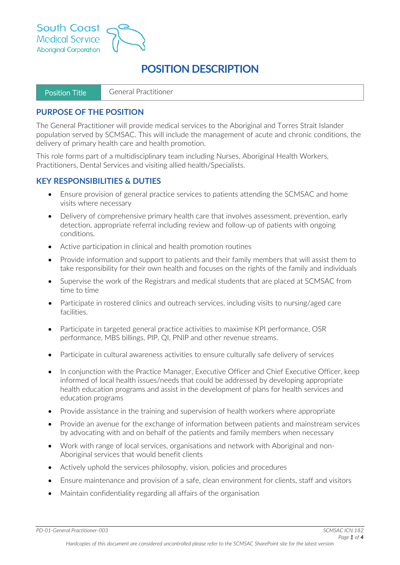

# **POSITION DESCRIPTION**

| l Position Title | General Practitioner |
|------------------|----------------------|
|------------------|----------------------|

## **PURPOSE OF THE POSITION**

The General Practitioner will provide medical services to the Aboriginal and Torres Strait Islander population served by SCMSAC. This will include the management of acute and chronic conditions, the delivery of primary health care and health promotion.

This role forms part of a multidisciplinary team including Nurses, Aboriginal Health Workers, Practitioners, Dental Services and visiting allied health/Specialists.

# **KEY RESPONSIBILITIES & DUTIES**

- Ensure provision of general practice services to patients attending the SCMSAC and home visits where necessary
- Delivery of comprehensive primary health care that involves assessment, prevention, early detection, appropriate referral including review and follow-up of patients with ongoing conditions.
- Active participation in clinical and health promotion routines
- Provide information and support to patients and their family members that will assist them to take responsibility for their own health and focuses on the rights of the family and individuals
- Supervise the work of the Registrars and medical students that are placed at SCMSAC from time to time
- Participate in rostered clinics and outreach services, including visits to nursing/aged care facilities.
- Participate in targeted general practice activities to maximise KPI performance, OSR performance, MBS billings, PIP, QI, PNIP and other revenue streams.
- Participate in cultural awareness activities to ensure culturally safe delivery of services
- In conjunction with the Practice Manager, Executive Officer and Chief Executive Officer, keep informed of local health issues/needs that could be addressed by developing appropriate health education programs and assist in the development of plans for health services and education programs
- Provide assistance in the training and supervision of health workers where appropriate
- Provide an avenue for the exchange of information between patients and mainstream services by advocating with and on behalf of the patients and family members when necessary
- Work with range of local services, organisations and network with Aboriginal and non-Aboriginal services that would benefit clients
- Actively uphold the services philosophy, vision, policies and procedures
- Ensure maintenance and provision of a safe, clean environment for clients, staff and visitors
- Maintain confidentiality regarding all affairs of the organisation

*PD-01-General Practitioner-003 SCMSAC ICN 182*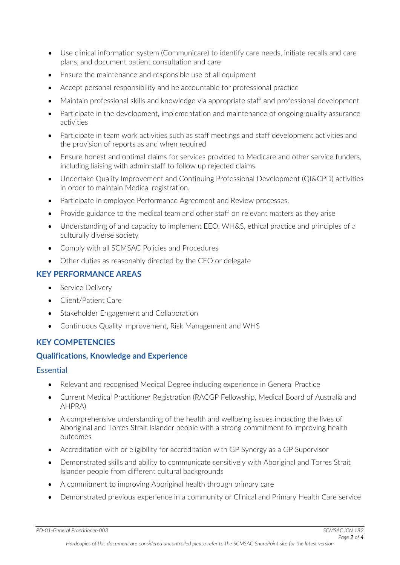- Use clinical information system (Communicare) to identify care needs, initiate recalls and care plans, and document patient consultation and care
- Ensure the maintenance and responsible use of all equipment
- Accept personal responsibility and be accountable for professional practice
- Maintain professional skills and knowledge via appropriate staff and professional development
- Participate in the development, implementation and maintenance of ongoing quality assurance activities
- Participate in team work activities such as staff meetings and staff development activities and the provision of reports as and when required
- Ensure honest and optimal claims for services provided to Medicare and other service funders, including liaising with admin staff to follow up rejected claims
- Undertake Quality Improvement and Continuing Professional Development (QI&CPD) activities in order to maintain Medical registration.
- Participate in employee Performance Agreement and Review processes.
- Provide guidance to the medical team and other staff on relevant matters as they arise
- Understanding of and capacity to implement EEO, WH&S, ethical practice and principles of a culturally diverse society
- Comply with all SCMSAC Policies and Procedures
- Other duties as reasonably directed by the CEO or delegate

# **KEY PERFORMANCE AREAS**

- Service Delivery
- Client/Patient Care
- Stakeholder Engagement and Collaboration
- Continuous Quality Improvement, Risk Management and WHS

# **KEY COMPETENCIES**

# **Qualifications, Knowledge and Experience**

#### Essential

- Relevant and recognised Medical Degree including experience in General Practice
- Current Medical Practitioner Registration (RACGP Fellowship, Medical Board of Australia and AHPRA)
- A comprehensive understanding of the health and wellbeing issues impacting the lives of Aboriginal and Torres Strait Islander people with a strong commitment to improving health outcomes
- Accreditation with or eligibility for accreditation with GP Synergy as a GP Supervisor
- Demonstrated skills and ability to communicate sensitively with Aboriginal and Torres Strait Islander people from different cultural backgrounds
- A commitment to improving Aboriginal health through primary care
- Demonstrated previous experience in a community or Clinical and Primary Health Care service

*PD-01-General Practitioner-003 SCMSAC ICN 182*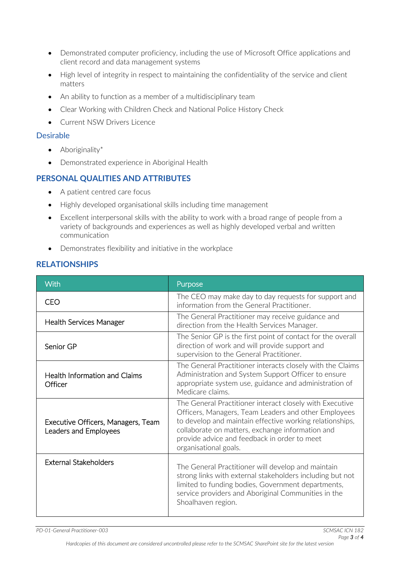- Demonstrated computer proficiency, including the use of Microsoft Office applications and client record and data management systems
- High level of integrity in respect to maintaining the confidentiality of the service and client matters
- An ability to function as a member of a multidisciplinary team
- Clear Working with Children Check and National Police History Check
- Current NSW Drivers Licence

#### Desirable

- Aboriginality\*
- Demonstrated experience in Aboriginal Health

## **PERSONAL QUALITIES AND ATTRIBUTES**

- A patient centred care focus
- Highly developed organisational skills including time management
- Excellent interpersonal skills with the ability to work with a broad range of people from a variety of backgrounds and experiences as well as highly developed verbal and written communication
- Demonstrates flexibility and initiative in the workplace

# **RELATIONSHIPS**

| With                                                        | Purpose                                                                                                                                                                                                                                                                                                   |
|-------------------------------------------------------------|-----------------------------------------------------------------------------------------------------------------------------------------------------------------------------------------------------------------------------------------------------------------------------------------------------------|
| <b>CEO</b>                                                  | The CEO may make day to day requests for support and<br>information from the General Practitioner.                                                                                                                                                                                                        |
| <b>Health Services Manager</b>                              | The General Practitioner may receive guidance and<br>direction from the Health Services Manager.                                                                                                                                                                                                          |
| Senior GP                                                   | The Senior GP is the first point of contact for the overall<br>direction of work and will provide support and<br>supervision to the General Practitioner.                                                                                                                                                 |
| <b>Health Information and Claims</b><br>Officer             | The General Practitioner interacts closely with the Claims<br>Administration and System Support Officer to ensure<br>appropriate system use, guidance and administration of<br>Medicare claims.                                                                                                           |
| Executive Officers, Managers, Team<br>Leaders and Employees | The General Practitioner interact closely with Executive<br>Officers, Managers, Team Leaders and other Employees<br>to develop and maintain effective working relationships,<br>collaborate on matters, exchange information and<br>provide advice and feedback in order to meet<br>organisational goals. |
| <b>External Stakeholders</b>                                | The General Practitioner will develop and maintain<br>strong links with external stakeholders including but not<br>limited to funding bodies, Government departments,<br>service providers and Aboriginal Communities in the<br>Shoalhaven region.                                                        |

*PD-01-General Practitioner-003 SCMSAC ICN 182*